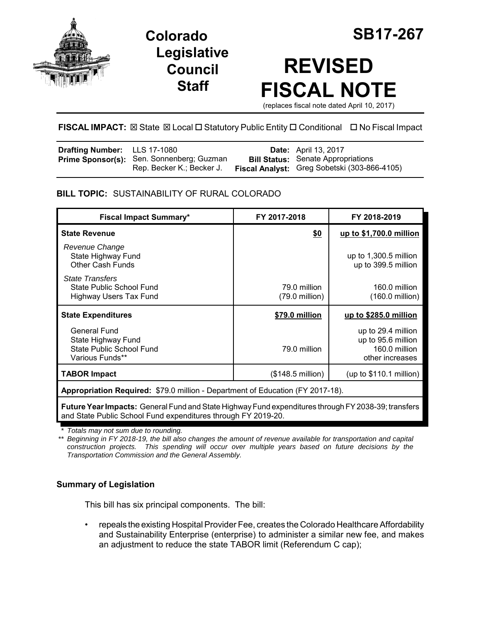



# **REVISED FISCAL NOTE**

(replaces fiscal note dated April 10, 2017)

# **FISCAL IMPACT:** ⊠ State ⊠ Local □ Statutory Public Entity □ Conditional □ No Fiscal Impact

| <b>Drafting Number:</b> LLS 17-1080 |                                                  | <b>Date:</b> April 13, 2017                  |
|-------------------------------------|--------------------------------------------------|----------------------------------------------|
|                                     | <b>Prime Sponsor(s):</b> Sen. Sonnenberg; Guzman | <b>Bill Status:</b> Senate Appropriations    |
|                                     | Rep. Becker K.; Becker J.                        | Fiscal Analyst: Greg Sobetski (303-866-4105) |

# **BILL TOPIC:** SUSTAINABILITY OF RURAL COLORADO

| <b>Fiscal Impact Summary*</b>                                                                   | FY 2017-2018                             | FY 2018-2019                                                                 |  |
|-------------------------------------------------------------------------------------------------|------------------------------------------|------------------------------------------------------------------------------|--|
| <b>State Revenue</b>                                                                            | \$0                                      | up to \$1,700.0 million                                                      |  |
| Revenue Change<br>State Highway Fund<br><b>Other Cash Funds</b>                                 |                                          | up to 1,300.5 million<br>up to 399.5 million                                 |  |
| <b>State Transfers</b><br>State Public School Fund<br>Highway Users Tax Fund                    | 79.0 million<br>$(79.0 \text{ million})$ | 160.0 million<br>$(160.0 \text{ million})$                                   |  |
| <b>State Expenditures</b>                                                                       | \$79.0 million                           | up to \$285.0 million                                                        |  |
| <b>General Fund</b><br>State Highway Fund<br><b>State Public School Fund</b><br>Various Funds** | 79.0 million                             | up to 29.4 million<br>up to 95.6 million<br>160.0 million<br>other increases |  |
| <b>TABOR Impact</b>                                                                             | (\$148.5 million)                        | (up to $$110.1$ million)                                                     |  |
| Appropriation Required: \$79.0 million - Department of Education (FY 2017-18).                  |                                          |                                                                              |  |

**Future Year Impacts:** General Fund and State Highway Fund expenditures through FY 2038-39; transfers and State Public School Fund expenditures through FY 2019-20.

*\* Totals may not sum due to rounding.*

*\*\* Beginning in FY 2018-19, the bill also changes the amount of revenue available for transportation and capital construction projects. This spending will occur over multiple years based on future decisions by the Transportation Commission and the General Assembly.*

# **Summary of Legislation**

This bill has six principal components. The bill:

• repeals the existing Hospital Provider Fee, creates the Colorado Healthcare Affordability and Sustainability Enterprise (enterprise) to administer a similar new fee, and makes an adjustment to reduce the state TABOR limit (Referendum C cap);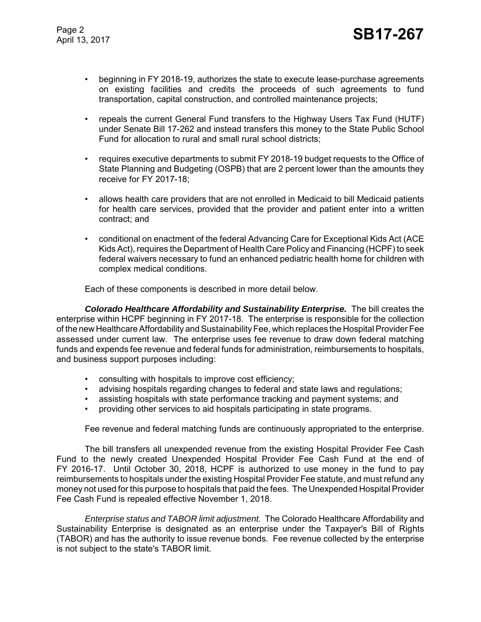- beginning in FY 2018-19, authorizes the state to execute lease-purchase agreements on existing facilities and credits the proceeds of such agreements to fund transportation, capital construction, and controlled maintenance projects;
- repeals the current General Fund transfers to the Highway Users Tax Fund (HUTF) under Senate Bill 17-262 and instead transfers this money to the State Public School Fund for allocation to rural and small rural school districts;
- requires executive departments to submit FY 2018-19 budget requests to the Office of State Planning and Budgeting (OSPB) that are 2 percent lower than the amounts they receive for FY 2017-18;
- allows health care providers that are not enrolled in Medicaid to bill Medicaid patients for health care services, provided that the provider and patient enter into a written contract; and
- conditional on enactment of the federal Advancing Care for Exceptional Kids Act (ACE Kids Act), requires the Department of Health Care Policy and Financing (HCPF) to seek federal waivers necessary to fund an enhanced pediatric health home for children with complex medical conditions.

Each of these components is described in more detail below.

*Colorado Healthcare Affordability and Sustainability Enterprise.* The bill creates the enterprise within HCPF beginning in FY 2017-18. The enterprise is responsible for the collection of the new Healthcare Affordability and Sustainability Fee, which replaces the Hospital Provider Fee assessed under current law. The enterprise uses fee revenue to draw down federal matching funds and expends fee revenue and federal funds for administration, reimbursements to hospitals, and business support purposes including:

- consulting with hospitals to improve cost efficiency;
- advising hospitals regarding changes to federal and state laws and regulations;
- assisting hospitals with state performance tracking and payment systems; and
- providing other services to aid hospitals participating in state programs.

Fee revenue and federal matching funds are continuously appropriated to the enterprise.

The bill transfers all unexpended revenue from the existing Hospital Provider Fee Cash Fund to the newly created Unexpended Hospital Provider Fee Cash Fund at the end of FY 2016-17. Until October 30, 2018, HCPF is authorized to use money in the fund to pay reimbursements to hospitals under the existing Hospital Provider Fee statute, and must refund any money not used for this purpose to hospitals that paid the fees. The Unexpended Hospital Provider Fee Cash Fund is repealed effective November 1, 2018.

*Enterprise status and TABOR limit adjustment.* The Colorado Healthcare Affordability and Sustainability Enterprise is designated as an enterprise under the Taxpayer's Bill of Rights (TABOR) and has the authority to issue revenue bonds. Fee revenue collected by the enterprise is not subject to the state's TABOR limit.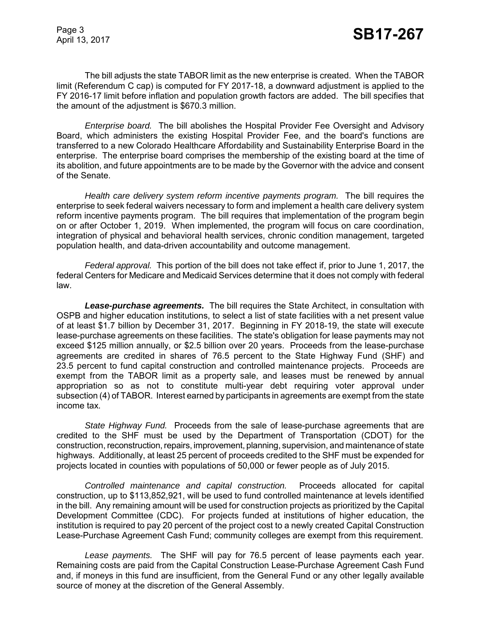The bill adjusts the state TABOR limit as the new enterprise is created. When the TABOR limit (Referendum C cap) is computed for FY 2017-18, a downward adjustment is applied to the FY 2016-17 limit before inflation and population growth factors are added. The bill specifies that the amount of the adjustment is \$670.3 million.

*Enterprise board.* The bill abolishes the Hospital Provider Fee Oversight and Advisory Board, which administers the existing Hospital Provider Fee, and the board's functions are transferred to a new Colorado Healthcare Affordability and Sustainability Enterprise Board in the enterprise. The enterprise board comprises the membership of the existing board at the time of its abolition, and future appointments are to be made by the Governor with the advice and consent of the Senate.

*Health care delivery system reform incentive payments program.* The bill requires the enterprise to seek federal waivers necessary to form and implement a health care delivery system reform incentive payments program. The bill requires that implementation of the program begin on or after October 1, 2019. When implemented, the program will focus on care coordination, integration of physical and behavioral health services, chronic condition management, targeted population health, and data-driven accountability and outcome management.

*Federal approval.* This portion of the bill does not take effect if, prior to June 1, 2017, the federal Centers for Medicare and Medicaid Services determine that it does not comply with federal law.

*Lease-purchase agreements.* The bill requires the State Architect, in consultation with OSPB and higher education institutions, to select a list of state facilities with a net present value of at least \$1.7 billion by December 31, 2017. Beginning in FY 2018-19, the state will execute lease-purchase agreements on these facilities. The state's obligation for lease payments may not exceed \$125 million annually, or \$2.5 billion over 20 years. Proceeds from the lease-purchase agreements are credited in shares of 76.5 percent to the State Highway Fund (SHF) and 23.5 percent to fund capital construction and controlled maintenance projects. Proceeds are exempt from the TABOR limit as a property sale, and leases must be renewed by annual appropriation so as not to constitute multi-year debt requiring voter approval under subsection (4) of TABOR. Interest earned by participants in agreements are exempt from the state income tax.

*State Highway Fund.* Proceeds from the sale of lease-purchase agreements that are credited to the SHF must be used by the Department of Transportation (CDOT) for the construction, reconstruction, repairs, improvement, planning, supervision, and maintenance of state highways. Additionally, at least 25 percent of proceeds credited to the SHF must be expended for projects located in counties with populations of 50,000 or fewer people as of July 2015.

*Controlled maintenance and capital construction.* Proceeds allocated for capital construction, up to \$113,852,921, will be used to fund controlled maintenance at levels identified in the bill. Any remaining amount will be used for construction projects as prioritized by the Capital Development Committee (CDC). For projects funded at institutions of higher education, the institution is required to pay 20 percent of the project cost to a newly created Capital Construction Lease-Purchase Agreement Cash Fund; community colleges are exempt from this requirement.

*Lease payments.* The SHF will pay for 76.5 percent of lease payments each year. Remaining costs are paid from the Capital Construction Lease-Purchase Agreement Cash Fund and, if moneys in this fund are insufficient, from the General Fund or any other legally available source of money at the discretion of the General Assembly.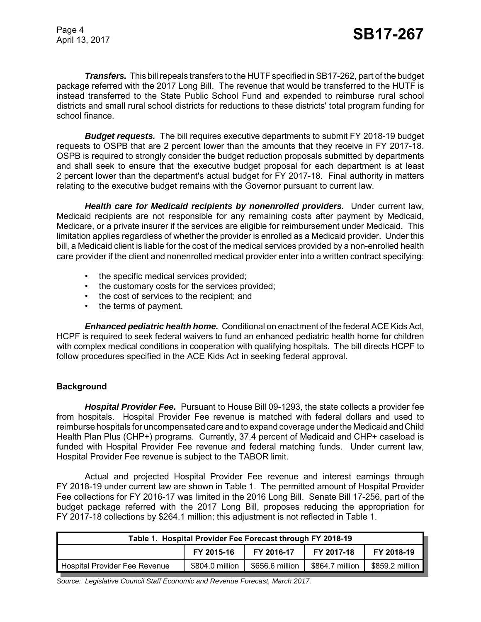*Transfers.* This bill repeals transfers to the HUTF specified in SB17-262, part of the budget package referred with the 2017 Long Bill. The revenue that would be transferred to the HUTF is instead transferred to the State Public School Fund and expended to reimburse rural school districts and small rural school districts for reductions to these districts' total program funding for school finance.

*Budget requests.* The bill requires executive departments to submit FY 2018-19 budget requests to OSPB that are 2 percent lower than the amounts that they receive in FY 2017-18. OSPB is required to strongly consider the budget reduction proposals submitted by departments and shall seek to ensure that the executive budget proposal for each department is at least 2 percent lower than the department's actual budget for FY 2017-18. Final authority in matters relating to the executive budget remains with the Governor pursuant to current law.

*Health care for Medicaid recipients by nonenrolled providers.* Under current law, Medicaid recipients are not responsible for any remaining costs after payment by Medicaid, Medicare, or a private insurer if the services are eligible for reimbursement under Medicaid. This limitation applies regardless of whether the provider is enrolled as a Medicaid provider. Under this bill, a Medicaid client is liable for the cost of the medical services provided by a non-enrolled health care provider if the client and nonenrolled medical provider enter into a written contract specifying:

- the specific medical services provided;
- the customary costs for the services provided;
- the cost of services to the recipient; and
- the terms of payment.

*Enhanced pediatric health home.* Conditional on enactment of the federal ACE Kids Act, HCPF is required to seek federal waivers to fund an enhanced pediatric health home for children with complex medical conditions in cooperation with qualifying hospitals. The bill directs HCPF to follow procedures specified in the ACE Kids Act in seeking federal approval.

## **Background**

*Hospital Provider Fee.* Pursuant to House Bill 09-1293, the state collects a provider fee from hospitals. Hospital Provider Fee revenue is matched with federal dollars and used to reimburse hospitals for uncompensated care and to expand coverage under the Medicaid and Child Health Plan Plus (CHP+) programs. Currently, 37.4 percent of Medicaid and CHP+ caseload is funded with Hospital Provider Fee revenue and federal matching funds. Under current law, Hospital Provider Fee revenue is subject to the TABOR limit.

Actual and projected Hospital Provider Fee revenue and interest earnings through FY 2018-19 under current law are shown in Table 1. The permitted amount of Hospital Provider Fee collections for FY 2016-17 was limited in the 2016 Long Bill. Senate Bill 17-256, part of the budget package referred with the 2017 Long Bill, proposes reducing the appropriation for FY 2017-18 collections by \$264.1 million; this adjustment is not reflected in Table 1.

| Table 1. Hospital Provider Fee Forecast through FY 2018-19 |                 |                 |                 |                 |
|------------------------------------------------------------|-----------------|-----------------|-----------------|-----------------|
|                                                            | FY 2015-16      | FY 2016-17      | FY 2017-18      | FY 2018-19      |
| Hospital Provider Fee Revenue                              | \$804.0 million | \$656.6 million | \$864.7 million | \$859.2 million |

*Source: Legislative Council Staff Economic and Revenue Forecast, March 2017.*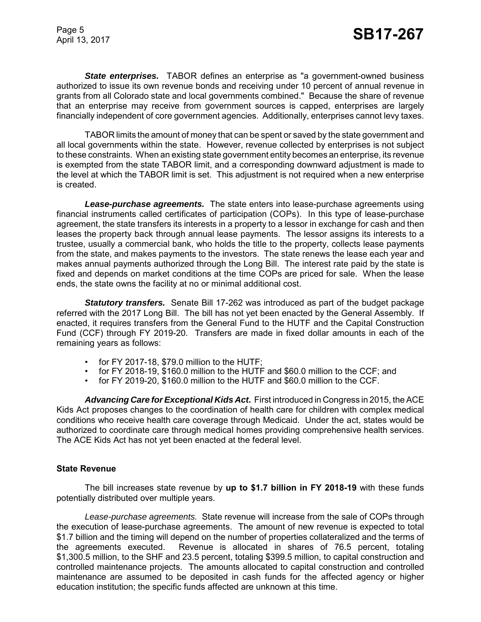*State enterprises.* TABOR defines an enterprise as "a government-owned business authorized to issue its own revenue bonds and receiving under 10 percent of annual revenue in grants from all Colorado state and local governments combined." Because the share of revenue that an enterprise may receive from government sources is capped, enterprises are largely financially independent of core government agencies. Additionally, enterprises cannot levy taxes.

TABOR limits the amount of money that can be spent or saved by the state government and all local governments within the state. However, revenue collected by enterprises is not subject to these constraints. When an existing state government entity becomes an enterprise, its revenue is exempted from the state TABOR limit, and a corresponding downward adjustment is made to the level at which the TABOR limit is set. This adjustment is not required when a new enterprise is created.

*Lease-purchase agreements.* The state enters into lease-purchase agreements using financial instruments called certificates of participation (COPs). In this type of lease-purchase agreement, the state transfers its interests in a property to a lessor in exchange for cash and then leases the property back through annual lease payments. The lessor assigns its interests to a trustee, usually a commercial bank, who holds the title to the property, collects lease payments from the state, and makes payments to the investors. The state renews the lease each year and makes annual payments authorized through the Long Bill. The interest rate paid by the state is fixed and depends on market conditions at the time COPs are priced for sale. When the lease ends, the state owns the facility at no or minimal additional cost.

*Statutory transfers.* Senate Bill 17-262 was introduced as part of the budget package referred with the 2017 Long Bill. The bill has not yet been enacted by the General Assembly. If enacted, it requires transfers from the General Fund to the HUTF and the Capital Construction Fund (CCF) through FY 2019-20. Transfers are made in fixed dollar amounts in each of the remaining years as follows:

- for FY 2017-18, \$79.0 million to the HUTF;
- for FY 2018-19, \$160.0 million to the HUTF and \$60.0 million to the CCF; and
- for FY 2019-20, \$160.0 million to the HUTF and \$60.0 million to the CCF.

*Advancing Care for Exceptional Kids Act.* First introduced in Congress in 2015, the ACE Kids Act proposes changes to the coordination of health care for children with complex medical conditions who receive health care coverage through Medicaid. Under the act, states would be authorized to coordinate care through medical homes providing comprehensive health services. The ACE Kids Act has not yet been enacted at the federal level.

## **State Revenue**

The bill increases state revenue by **up to \$1.7 billion in FY 2018-19** with these funds potentially distributed over multiple years.

*Lease-purchase agreements.* State revenue will increase from the sale of COPs through the execution of lease-purchase agreements. The amount of new revenue is expected to total \$1.7 billion and the timing will depend on the number of properties collateralized and the terms of the agreements executed. Revenue is allocated in shares of 76.5 percent, totaling \$1,300.5 million, to the SHF and 23.5 percent, totaling \$399.5 million, to capital construction and controlled maintenance projects. The amounts allocated to capital construction and controlled maintenance are assumed to be deposited in cash funds for the affected agency or higher education institution; the specific funds affected are unknown at this time.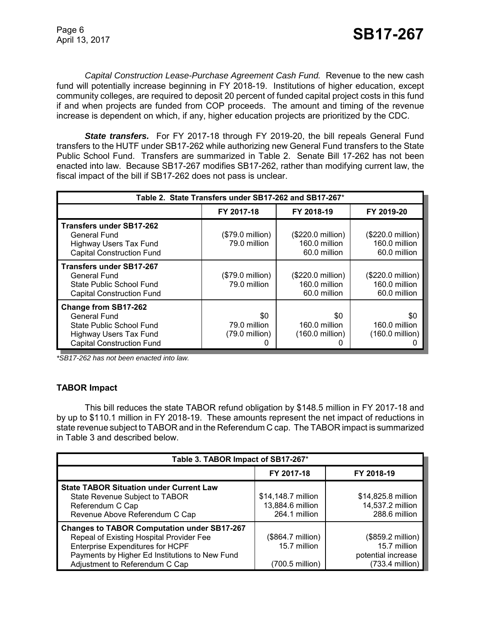*Capital Construction Lease-Purchase Agreement Cash Fund.* Revenue to the new cash fund will potentially increase beginning in FY 2018-19. Institutions of higher education, except community colleges, are required to deposit 20 percent of funded capital project costs in this fund if and when projects are funded from COP proceeds. The amount and timing of the revenue increase is dependent on which, if any, higher education projects are prioritized by the CDC.

*State transfers.* For FY 2017-18 through FY 2019-20, the bill repeals General Fund transfers to the HUTF under SB17-262 while authorizing new General Fund transfers to the State Public School Fund. Transfers are summarized in Table 2. Senate Bill 17-262 has not been enacted into law. Because SB17-267 modifies SB17-262, rather than modifying current law, the fiscal impact of the bill if SB17-262 does not pass is unclear.

| Table 2. State Transfers under SB17-262 and SB17-267*                                                                                        |                                           |                                                    |                                                             |  |
|----------------------------------------------------------------------------------------------------------------------------------------------|-------------------------------------------|----------------------------------------------------|-------------------------------------------------------------|--|
|                                                                                                                                              | FY 2017-18                                | FY 2018-19                                         | FY 2019-20                                                  |  |
| <b>Transfers under SB17-262</b><br>General Fund<br><b>Highway Users Tax Fund</b><br><b>Capital Construction Fund</b>                         | $($79.0 \text{ million})$<br>79.0 million | (\$220.0 million)<br>160.0 million<br>60.0 million | (\$220.0 million)<br>160.0 million<br>60.0 million          |  |
| Transfers under SB17-267<br>General Fund<br>State Public School Fund<br><b>Capital Construction Fund</b>                                     | $($79.0 \text{ million})$<br>79.0 million | (\$220.0 million)<br>160.0 million<br>60.0 million | $($220.0 \text{ million})$<br>160.0 million<br>60.0 million |  |
| <b>Change from SB17-262</b><br><b>General Fund</b><br>State Public School Fund<br>Highway Users Tax Fund<br><b>Capital Construction Fund</b> | \$0<br>79.0 million<br>(79.0 million)     | \$0<br>160.0 million<br>$(160.0 \text{ million})$  | \$0<br>160.0 million<br>$(160.0 \text{ million})$           |  |

*\*SB17-262 has not been enacted into law.*

# **TABOR Impact**

This bill reduces the state TABOR refund obligation by \$148.5 million in FY 2017-18 and by up to \$110.1 million in FY 2018-19. These amounts represent the net impact of reductions in state revenue subject to TABOR and in the Referendum C cap. The TABOR impact is summarized in Table 3 and described below.

| Table 3. TABOR Impact of SB17-267*                                                                                                                                                                                     |                                                         |                                                                              |  |
|------------------------------------------------------------------------------------------------------------------------------------------------------------------------------------------------------------------------|---------------------------------------------------------|------------------------------------------------------------------------------|--|
|                                                                                                                                                                                                                        | FY 2017-18                                              | FY 2018-19                                                                   |  |
| <b>State TABOR Situation under Current Law</b><br>State Revenue Subject to TABOR<br>Referendum C Cap<br>Revenue Above Referendum C Cap                                                                                 | \$14,148.7 million<br>13,884.6 million<br>264.1 million | \$14,825.8 million<br>14,537.2 million<br>288.6 million                      |  |
| <b>Changes to TABOR Computation under SB17-267</b><br>Repeal of Existing Hospital Provider Fee<br>Enterprise Expenditures for HCPF<br>Payments by Higher Ed Institutions to New Fund<br>Adjustment to Referendum C Cap | (\$864.7 million)<br>15.7 million<br>(700.5 million)    | (\$859.2 million)  <br>15.7 million<br>potential increase<br>(733.4 million) |  |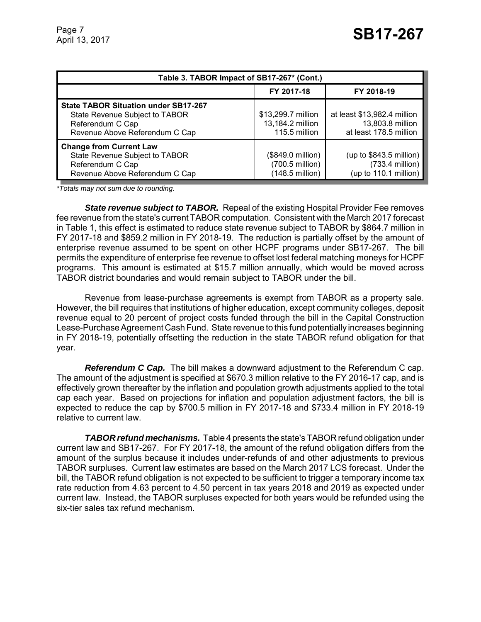| Table 3. TABOR Impact of SB17-267* (Cont.)                                                                                          |                                                         |                                                                           |  |
|-------------------------------------------------------------------------------------------------------------------------------------|---------------------------------------------------------|---------------------------------------------------------------------------|--|
|                                                                                                                                     | FY 2017-18                                              | FY 2018-19                                                                |  |
| <b>State TABOR Situation under SB17-267</b><br>State Revenue Subject to TABOR<br>Referendum C Cap<br>Revenue Above Referendum C Cap | \$13,299.7 million<br>13,184.2 million<br>115.5 million | at least \$13,982.4 million<br>13,803.8 million<br>at least 178.5 million |  |
| <b>Change from Current Law</b><br>State Revenue Subject to TABOR<br>Referendum C Cap<br>Revenue Above Referendum C Cap              | (\$849.0 million)<br>(700.5 million)<br>(148.5 million) | (up to $$843.5$ million)<br>(733.4 million)<br>(up to 110.1 million)      |  |

*\*Totals may not sum due to rounding.*

**State revenue subject to TABOR.** Repeal of the existing Hospital Provider Fee removes fee revenue from the state's current TABOR computation. Consistent with the March 2017 forecast in Table 1, this effect is estimated to reduce state revenue subject to TABOR by \$864.7 million in FY 2017-18 and \$859.2 million in FY 2018-19. The reduction is partially offset by the amount of enterprise revenue assumed to be spent on other HCPF programs under SB17-267. The bill permits the expenditure of enterprise fee revenue to offset lost federal matching moneys for HCPF programs. This amount is estimated at \$15.7 million annually, which would be moved across TABOR district boundaries and would remain subject to TABOR under the bill.

Revenue from lease-purchase agreements is exempt from TABOR as a property sale. However, the bill requires that institutions of higher education, except community colleges, deposit revenue equal to 20 percent of project costs funded through the bill in the Capital Construction Lease-Purchase Agreement Cash Fund. State revenue to this fund potentially increases beginning in FY 2018-19, potentially offsetting the reduction in the state TABOR refund obligation for that year.

*Referendum C Cap.* The bill makes a downward adjustment to the Referendum C cap. The amount of the adjustment is specified at \$670.3 million relative to the FY 2016-17 cap, and is effectively grown thereafter by the inflation and population growth adjustments applied to the total cap each year. Based on projections for inflation and population adjustment factors, the bill is expected to reduce the cap by \$700.5 million in FY 2017-18 and \$733.4 million in FY 2018-19 relative to current law.

*TABOR refund mechanisms.* Table 4 presents the state's TABOR refund obligation under current law and SB17-267. For FY 2017-18, the amount of the refund obligation differs from the amount of the surplus because it includes under-refunds of and other adjustments to previous TABOR surpluses. Current law estimates are based on the March 2017 LCS forecast. Under the bill, the TABOR refund obligation is not expected to be sufficient to trigger a temporary income tax rate reduction from 4.63 percent to 4.50 percent in tax years 2018 and 2019 as expected under current law. Instead, the TABOR surpluses expected for both years would be refunded using the six-tier sales tax refund mechanism.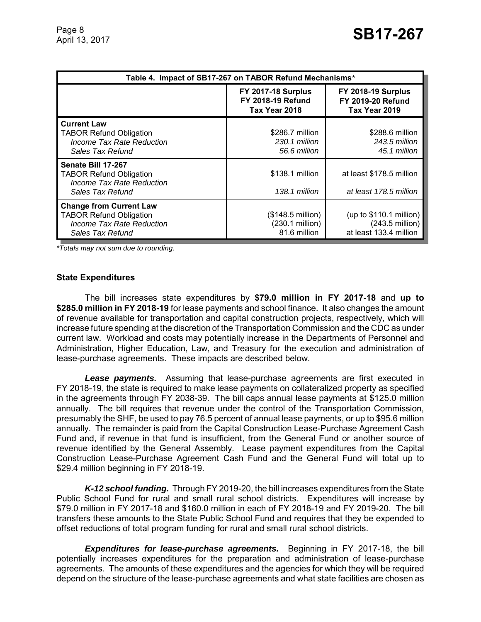| Table 4. Impact of SB17-267 on TABOR Refund Mechanisms*                                                           |                                                                        |                                                                                 |  |
|-------------------------------------------------------------------------------------------------------------------|------------------------------------------------------------------------|---------------------------------------------------------------------------------|--|
|                                                                                                                   | <b>FY 2017-18 Surplus</b><br><b>FY 2018-19 Refund</b><br>Tax Year 2018 | <b>FY 2018-19 Surplus</b><br><b>FY 2019-20 Refund</b><br>Tax Year 2019          |  |
| <b>Current Law</b><br><b>TABOR Refund Obligation</b><br>Income Tax Rate Reduction<br>Sales Tax Refund             | \$286.7 million<br>230.1 million<br>56.6 million                       | \$288.6 million<br>243.5 million<br>45.1 million                                |  |
| Senate Bill 17-267<br><b>TABOR Refund Obligation</b><br>Income Tax Rate Reduction<br>Sales Tax Refund             | \$138.1 million<br>138.1 million                                       | at least \$178.5 million<br>at least 178.5 million                              |  |
| <b>Change from Current Law</b><br><b>TABOR Refund Obligation</b><br>Income Tax Rate Reduction<br>Sales Tax Refund | $($148.5 \text{ million})$<br>(230.1 million)<br>81.6 million          | (up to $$110.1$ million)<br>$(243.5 \text{ million})$<br>at least 133.4 million |  |

*\*Totals may not sum due to rounding.*

#### **State Expenditures**

The bill increases state expenditures by **\$79.0 million in FY 2017-18** and **up to \$285.0 million in FY 2018-19** for lease payments and school finance. It also changes the amount of revenue available for transportation and capital construction projects, respectively, which will increase future spending at the discretion of the Transportation Commission and the CDC as under current law. Workload and costs may potentially increase in the Departments of Personnel and Administration, Higher Education, Law, and Treasury for the execution and administration of lease-purchase agreements. These impacts are described below.

*Lease payments.* Assuming that lease-purchase agreements are first executed in FY 2018-19, the state is required to make lease payments on collateralized property as specified in the agreements through FY 2038-39. The bill caps annual lease payments at \$125.0 million annually. The bill requires that revenue under the control of the Transportation Commission, presumably the SHF, be used to pay 76.5 percent of annual lease payments, or up to \$95.6 million annually. The remainder is paid from the Capital Construction Lease-Purchase Agreement Cash Fund and, if revenue in that fund is insufficient, from the General Fund or another source of revenue identified by the General Assembly. Lease payment expenditures from the Capital Construction Lease-Purchase Agreement Cash Fund and the General Fund will total up to \$29.4 million beginning in FY 2018-19.

*K-12 school funding.* Through FY 2019-20, the bill increases expenditures from the State Public School Fund for rural and small rural school districts. Expenditures will increase by \$79.0 million in FY 2017-18 and \$160.0 million in each of FY 2018-19 and FY 2019-20. The bill transfers these amounts to the State Public School Fund and requires that they be expended to offset reductions of total program funding for rural and small rural school districts.

*Expenditures for lease-purchase agreements.* Beginning in FY 2017-18, the bill potentially increases expenditures for the preparation and administration of lease-purchase agreements. The amounts of these expenditures and the agencies for which they will be required depend on the structure of the lease-purchase agreements and what state facilities are chosen as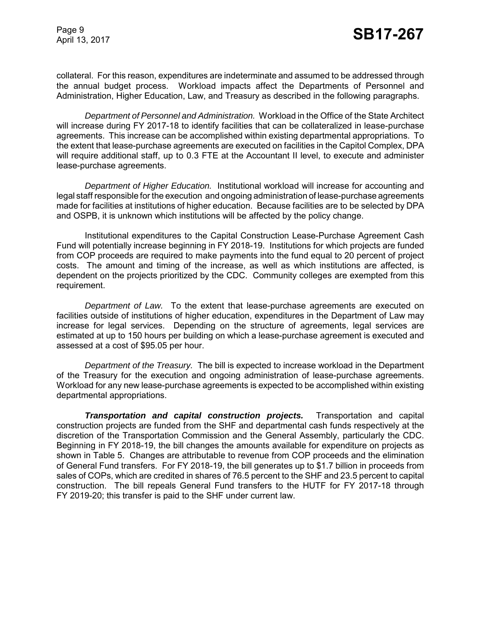Page 9

collateral. For this reason, expenditures are indeterminate and assumed to be addressed through the annual budget process. Workload impacts affect the Departments of Personnel and Administration, Higher Education, Law, and Treasury as described in the following paragraphs.

*Department of Personnel and Administration.* Workload in the Office of the State Architect will increase during FY 2017-18 to identify facilities that can be collateralized in lease-purchase agreements. This increase can be accomplished within existing departmental appropriations. To the extent that lease-purchase agreements are executed on facilities in the Capitol Complex, DPA will require additional staff, up to 0.3 FTE at the Accountant II level, to execute and administer lease-purchase agreements.

*Department of Higher Education.* Institutional workload will increase for accounting and legal staff responsible for the execution and ongoing administration of lease-purchase agreements made for facilities at institutions of higher education. Because facilities are to be selected by DPA and OSPB, it is unknown which institutions will be affected by the policy change.

Institutional expenditures to the Capital Construction Lease-Purchase Agreement Cash Fund will potentially increase beginning in FY 2018-19. Institutions for which projects are funded from COP proceeds are required to make payments into the fund equal to 20 percent of project costs. The amount and timing of the increase, as well as which institutions are affected, is dependent on the projects prioritized by the CDC. Community colleges are exempted from this requirement.

*Department of Law.* To the extent that lease-purchase agreements are executed on facilities outside of institutions of higher education, expenditures in the Department of Law may increase for legal services. Depending on the structure of agreements, legal services are estimated at up to 150 hours per building on which a lease-purchase agreement is executed and assessed at a cost of \$95.05 per hour.

*Department of the Treasury.* The bill is expected to increase workload in the Department of the Treasury for the execution and ongoing administration of lease-purchase agreements. Workload for any new lease-purchase agreements is expected to be accomplished within existing departmental appropriations.

*Transportation and capital construction projects.* Transportation and capital construction projects are funded from the SHF and departmental cash funds respectively at the discretion of the Transportation Commission and the General Assembly, particularly the CDC. Beginning in FY 2018-19, the bill changes the amounts available for expenditure on projects as shown in Table 5. Changes are attributable to revenue from COP proceeds and the elimination of General Fund transfers. For FY 2018-19, the bill generates up to \$1.7 billion in proceeds from sales of COPs, which are credited in shares of 76.5 percent to the SHF and 23.5 percent to capital construction. The bill repeals General Fund transfers to the HUTF for FY 2017-18 through FY 2019-20; this transfer is paid to the SHF under current law.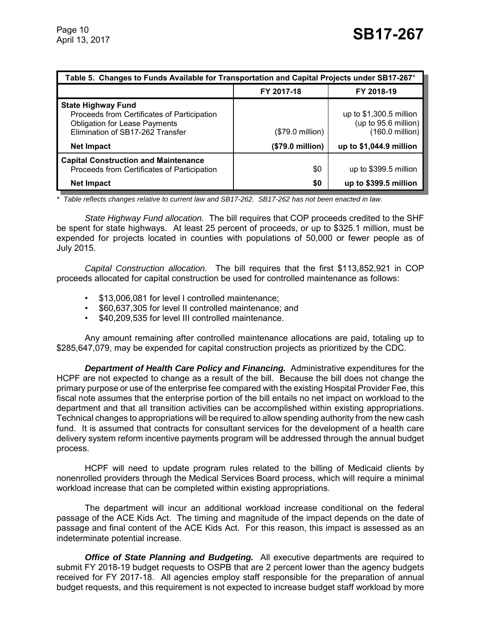| Table 5. Changes to Funds Available for Transportation and Capital Projects under SB17-267*                                                          |                           |                                                                     |  |
|------------------------------------------------------------------------------------------------------------------------------------------------------|---------------------------|---------------------------------------------------------------------|--|
|                                                                                                                                                      | FY 2017-18                | FY 2018-19                                                          |  |
| <b>State Highway Fund</b><br>Proceeds from Certificates of Participation<br><b>Obligation for Lease Payments</b><br>Elimination of SB17-262 Transfer | $($79.0 \text{ million})$ | up to $$1,300.5$ million<br>(up to 95.6 million)<br>(160.0 million) |  |
| <b>Net Impact</b>                                                                                                                                    | (\$79.0 million)          | up to \$1,044.9 million                                             |  |
| <b>Capital Construction and Maintenance</b><br>Proceeds from Certificates of Participation                                                           | \$0                       | up to \$399.5 million                                               |  |
| <b>Net Impact</b>                                                                                                                                    | \$0                       | up to \$399.5 million                                               |  |

*\* Table reflects changes relative to current law and SB17-262. SB17-262 has not been enacted in law.*

*State Highway Fund allocation.* The bill requires that COP proceeds credited to the SHF be spent for state highways. At least 25 percent of proceeds, or up to \$325.1 million, must be expended for projects located in counties with populations of 50,000 or fewer people as of July 2015.

*Capital Construction allocation.* The bill requires that the first \$113,852,921 in COP proceeds allocated for capital construction be used for controlled maintenance as follows:

- \$13,006,081 for level I controlled maintenance;
- \$60,637,305 for level II controlled maintenance; and
- \$40,209,535 for level III controlled maintenance.

Any amount remaining after controlled maintenance allocations are paid, totaling up to \$285,647,079, may be expended for capital construction projects as prioritized by the CDC.

*Department of Health Care Policy and Financing.* Administrative expenditures for the HCPF are not expected to change as a result of the bill. Because the bill does not change the primary purpose or use of the enterprise fee compared with the existing Hospital Provider Fee, this fiscal note assumes that the enterprise portion of the bill entails no net impact on workload to the department and that all transition activities can be accomplished within existing appropriations. Technical changes to appropriations will be required to allow spending authority from the new cash fund. It is assumed that contracts for consultant services for the development of a health care delivery system reform incentive payments program will be addressed through the annual budget process.

HCPF will need to update program rules related to the billing of Medicaid clients by nonenrolled providers through the Medical Services Board process, which will require a minimal workload increase that can be completed within existing appropriations.

The department will incur an additional workload increase conditional on the federal passage of the ACE Kids Act. The timing and magnitude of the impact depends on the date of passage and final content of the ACE Kids Act. For this reason, this impact is assessed as an indeterminate potential increase.

*Office of State Planning and Budgeting.* All executive departments are required to submit FY 2018-19 budget requests to OSPB that are 2 percent lower than the agency budgets received for FY 2017-18. All agencies employ staff responsible for the preparation of annual budget requests, and this requirement is not expected to increase budget staff workload by more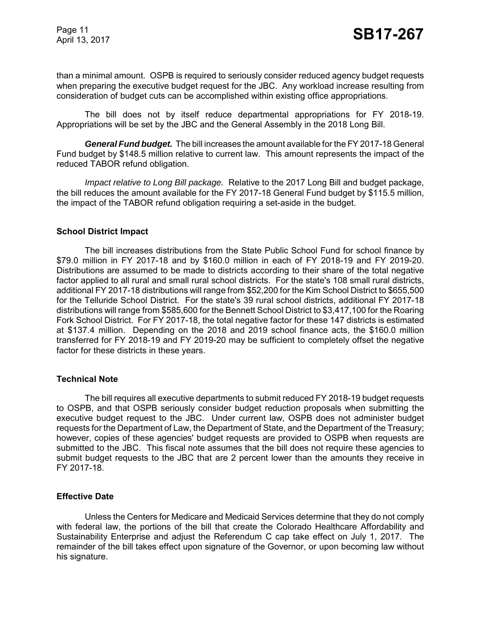Page 11

than a minimal amount. OSPB is required to seriously consider reduced agency budget requests when preparing the executive budget request for the JBC. Any workload increase resulting from consideration of budget cuts can be accomplished within existing office appropriations.

The bill does not by itself reduce departmental appropriations for FY 2018-19. Appropriations will be set by the JBC and the General Assembly in the 2018 Long Bill.

*General Fund budget.* The bill increases the amount available for the FY 2017-18 General Fund budget by \$148.5 million relative to current law. This amount represents the impact of the reduced TABOR refund obligation.

*Impact relative to Long Bill package.* Relative to the 2017 Long Bill and budget package, the bill reduces the amount available for the FY 2017-18 General Fund budget by \$115.5 million, the impact of the TABOR refund obligation requiring a set-aside in the budget.

## **School District Impact**

The bill increases distributions from the State Public School Fund for school finance by \$79.0 million in FY 2017-18 and by \$160.0 million in each of FY 2018-19 and FY 2019-20. Distributions are assumed to be made to districts according to their share of the total negative factor applied to all rural and small rural school districts. For the state's 108 small rural districts, additional FY 2017-18 distributions will range from \$52,200 for the Kim School District to \$655,500 for the Telluride School District. For the state's 39 rural school districts, additional FY 2017-18 distributions will range from \$585,600 for the Bennett School District to \$3,417,100 for the Roaring Fork School District. For FY 2017-18, the total negative factor for these 147 districts is estimated at \$137.4 million. Depending on the 2018 and 2019 school finance acts, the \$160.0 million transferred for FY 2018-19 and FY 2019-20 may be sufficient to completely offset the negative factor for these districts in these years.

## **Technical Note**

The bill requires all executive departments to submit reduced FY 2018-19 budget requests to OSPB, and that OSPB seriously consider budget reduction proposals when submitting the executive budget request to the JBC. Under current law, OSPB does not administer budget requests for the Department of Law, the Department of State, and the Department of the Treasury; however, copies of these agencies' budget requests are provided to OSPB when requests are submitted to the JBC. This fiscal note assumes that the bill does not require these agencies to submit budget requests to the JBC that are 2 percent lower than the amounts they receive in FY 2017-18.

## **Effective Date**

Unless the Centers for Medicare and Medicaid Services determine that they do not comply with federal law, the portions of the bill that create the Colorado Healthcare Affordability and Sustainability Enterprise and adjust the Referendum C cap take effect on July 1, 2017. The remainder of the bill takes effect upon signature of the Governor, or upon becoming law without his signature.